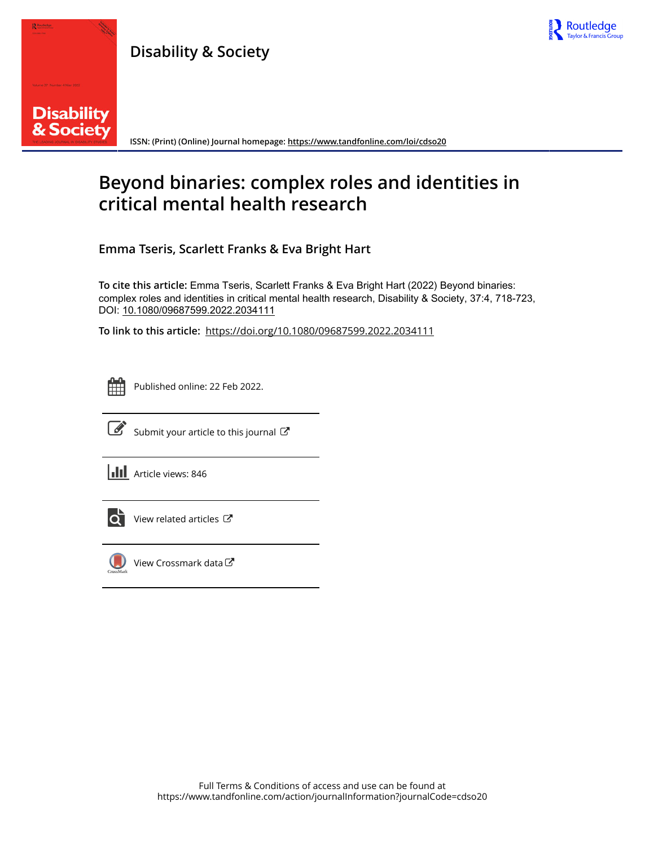

**Disability & Society**



**ISSN: (Print) (Online) Journal homepage:<https://www.tandfonline.com/loi/cdso20>**

# **Beyond binaries: complex roles and identities in critical mental health research**

**Emma Tseris, Scarlett Franks & Eva Bright Hart**

**To cite this article:** Emma Tseris, Scarlett Franks & Eva Bright Hart (2022) Beyond binaries: complex roles and identities in critical mental health research, Disability & Society, 37:4, 718-723, DOI: [10.1080/09687599.2022.2034111](https://www.tandfonline.com/action/showCitFormats?doi=10.1080/09687599.2022.2034111)

**To link to this article:** <https://doi.org/10.1080/09687599.2022.2034111>



Published online: 22 Feb 2022.



 $\overrightarrow{S}$  [Submit your article to this journal](https://www.tandfonline.com/action/authorSubmission?journalCode=cdso20&show=instructions)  $\overrightarrow{S}$ 

**III** Article views: 846



[View related articles](https://www.tandfonline.com/doi/mlt/10.1080/09687599.2022.2034111)  $\mathbb{Z}$ 



[View Crossmark data](http://crossmark.crossref.org/dialog/?doi=10.1080/09687599.2022.2034111&domain=pdf&date_stamp=2022-02-22)<sup>C</sup>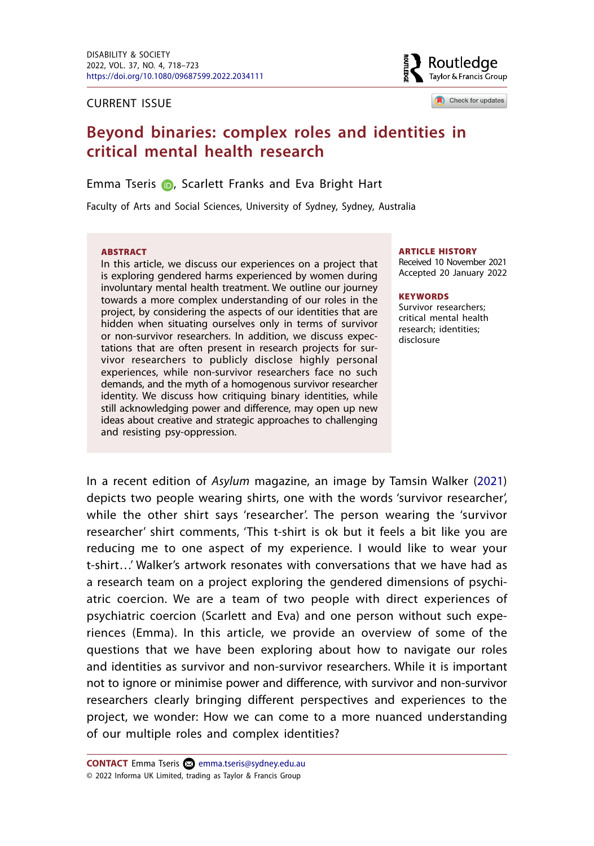CURRENT ISSUE

Routledae Taylor & Francis Group

Check for updates

## **Beyond binaries: complex roles and identities in critical mental health research**

Emma Tseris (D, Scarlett Franks and Eva Bright Hart

Faculty of Arts and Social Sciences, University of Sydney, Sydney, Australia

#### **ARSTRACT**

In this article, we discuss our experiences on a project that is exploring gendered harms experienced by women during involuntary mental health treatment. We outline our journey towards a more complex understanding of our roles in the project, by considering the aspects of our identities that are hidden when situating ourselves only in terms of survivor or non-survivor researchers. In addition, we discuss expectations that are often present in research projects for survivor researchers to publicly disclose highly personal experiences, while non-survivor researchers face no such demands, and the myth of a homogenous survivor researcher identity. We discuss how critiquing binary identities, while still acknowledging power and difference, may open up new ideas about creative and strategic approaches to challenging and resisting psy-oppression.

#### ARTICLE HISTORY

Received 10 November 2021 Accepted 20 January 2022

#### **KEYWORDS**

<span id="page-1-0"></span>Survivor researchers; critical mental health research; identities; disclosure

In a recent edition of *Asylum* magazine, an image by Tamsin Walker [\(2021](#page-6-0)) depicts two people wearing shirts, one with the words 'survivor researcher', while the other shirt says 'researcher'. The person wearing the 'survivor researcher' shirt comments, 'This t-shirt is ok but it feels a bit like you are reducing me to one aspect of my experience. I would like to wear your t-shirt…' Walker's artwork resonates with conversations that we have had as a research team on a project exploring the gendered dimensions of psychiatric coercion. We are a team of two people with direct experiences of psychiatric coercion (Scarlett and Eva) and one person without such experiences (Emma). In this article, we provide an overview of some of the questions that we have been exploring about how to navigate our roles and identities as survivor and non-survivor researchers. While it is important not to ignore or minimise power and difference, with survivor and non-survivor researchers clearly bringing different perspectives and experiences to the project, we wonder: How we can come to a more nuanced understanding of our multiple roles and complex identities?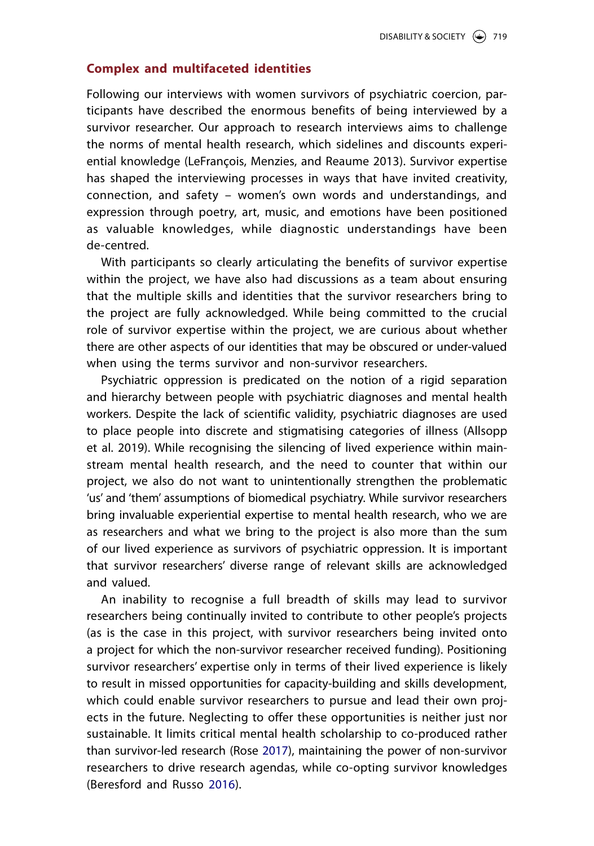#### **Complex and multifaceted identities**

Following our interviews with women survivors of psychiatric coercion, participants have described the enormous benefits of being interviewed by a survivor researcher. Our approach to research interviews aims to challenge the norms of mental health research, which sidelines and discounts experiential knowledge (LeFrançois, Menzies, and Reaume 2013). Survivor expertise has shaped the interviewing processes in ways that have invited creativity, connection, and safety – women's own words and understandings, and expression through poetry, art, music, and emotions have been positioned as valuable knowledges, while diagnostic understandings have been de-centred.

With participants so clearly articulating the benefits of survivor expertise within the project, we have also had discussions as a team about ensuring that the multiple skills and identities that the survivor researchers bring to the project are fully acknowledged. While being committed to the crucial role of survivor expertise within the project, we are curious about whether there are other aspects of our identities that may be obscured or under-valued when using the terms survivor and non-survivor researchers.

Psychiatric oppression is predicated on the notion of a rigid separation and hierarchy between people with psychiatric diagnoses and mental health workers. Despite the lack of scientific validity, psychiatric diagnoses are used to place people into discrete and stigmatising categories of illness (Allsopp et al. 2019). While recognising the silencing of lived experience within mainstream mental health research, and the need to counter that within our project, we also do not want to unintentionally strengthen the problematic 'us' and 'them' assumptions of biomedical psychiatry. While survivor researchers bring invaluable experiential expertise to mental health research, who we are as researchers and what we bring to the project is also more than the sum of our lived experience as survivors of psychiatric oppression. It is important that survivor researchers' diverse range of relevant skills are acknowledged and valued.

<span id="page-2-1"></span><span id="page-2-0"></span>An inability to recognise a full breadth of skills may lead to survivor researchers being continually invited to contribute to other people's projects (as is the case in this project, with survivor researchers being invited onto a project for which the non-survivor researcher received funding). Positioning survivor researchers' expertise only in terms of their lived experience is likely to result in missed opportunities for capacity-building and skills development, which could enable survivor researchers to pursue and lead their own projects in the future. Neglecting to offer these opportunities is neither just nor sustainable. It limits critical mental health scholarship to co-produced rather than survivor-led research (Rose [2017\)](#page-6-1), maintaining the power of non-survivor researchers to drive research agendas, while co-opting survivor knowledges (Beresford and Russo [2016](#page-5-0)).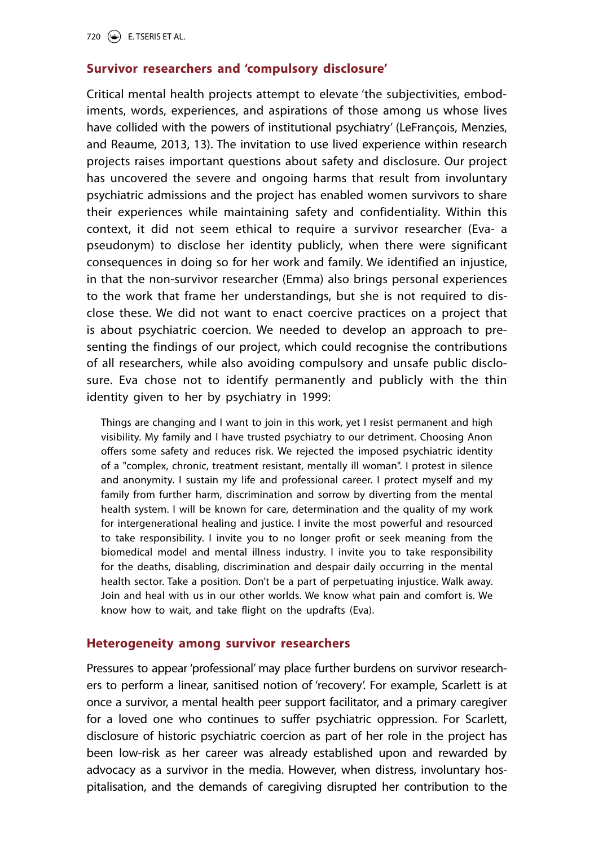## **Survivor researchers and 'compulsory disclosure'**

Critical mental health projects attempt to elevate 'the subjectivities, embodiments, words, experiences, and aspirations of those among us whose lives have collided with the powers of institutional psychiatry' (LeFrançois, Menzies, and Reaume, 2013, 13). The invitation to use lived experience within research projects raises important questions about safety and disclosure. Our project has uncovered the severe and ongoing harms that result from involuntary psychiatric admissions and the project has enabled women survivors to share their experiences while maintaining safety and confidentiality. Within this context, it did not seem ethical to require a survivor researcher (Eva- a pseudonym) to disclose her identity publicly, when there were significant consequences in doing so for her work and family. We identified an injustice, in that the non-survivor researcher (Emma) also brings personal experiences to the work that frame her understandings, but she is not required to disclose these. We did not want to enact coercive practices on a project that is about psychiatric coercion. We needed to develop an approach to presenting the findings of our project, which could recognise the contributions of all researchers, while also avoiding compulsory and unsafe public disclosure. Eva chose not to identify permanently and publicly with the thin identity given to her by psychiatry in 1999:

Things are changing and I want to join in this work, yet I resist permanent and high visibility. My family and I have trusted psychiatry to our detriment. Choosing Anon offers some safety and reduces risk. We rejected the imposed psychiatric identity of a "complex, chronic, treatment resistant, mentally ill woman". I protest in silence and anonymity. I sustain my life and professional career. I protect myself and my family from further harm, discrimination and sorrow by diverting from the mental health system. I will be known for care, determination and the quality of my work for intergenerational healing and justice. I invite the most powerful and resourced to take responsibility. I invite you to no longer profit or seek meaning from the biomedical model and mental illness industry. I invite you to take responsibility for the deaths, disabling, discrimination and despair daily occurring in the mental health sector. Take a position. Don't be a part of perpetuating injustice. Walk away. Join and heal with us in our other worlds. We know what pain and comfort is. We know how to wait, and take flight on the updrafts (Eva).

## **Heterogeneity among survivor researchers**

Pressures to appear 'professional' may place further burdens on survivor researchers to perform a linear, sanitised notion of 'recovery'. For example, Scarlett is at once a survivor, a mental health peer support facilitator, and a primary caregiver for a loved one who continues to suffer psychiatric oppression. For Scarlett, disclosure of historic psychiatric coercion as part of her role in the project has been low-risk as her career was already established upon and rewarded by advocacy as a survivor in the media. However, when distress, involuntary hospitalisation, and the demands of caregiving disrupted her contribution to the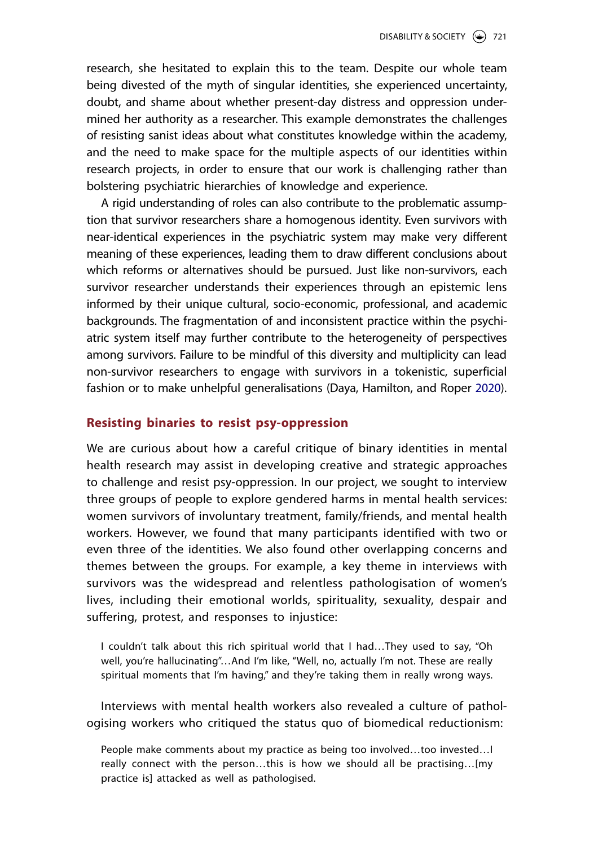research, she hesitated to explain this to the team. Despite our whole team being divested of the myth of singular identities, she experienced uncertainty, doubt, and shame about whether present-day distress and oppression undermined her authority as a researcher. This example demonstrates the challenges of resisting sanist ideas about what constitutes knowledge within the academy, and the need to make space for the multiple aspects of our identities within research projects, in order to ensure that our work is challenging rather than bolstering psychiatric hierarchies of knowledge and experience.

A rigid understanding of roles can also contribute to the problematic assumption that survivor researchers share a homogenous identity. Even survivors with near-identical experiences in the psychiatric system may make very different meaning of these experiences, leading them to draw different conclusions about which reforms or alternatives should be pursued. Just like non-survivors, each survivor researcher understands their experiences through an epistemic lens informed by their unique cultural, socio-economic, professional, and academic backgrounds. The fragmentation of and inconsistent practice within the psychiatric system itself may further contribute to the heterogeneity of perspectives among survivors. Failure to be mindful of this diversity and multiplicity can lead non-survivor researchers to engage with survivors in a tokenistic, superficial fashion or to make unhelpful generalisations (Daya, Hamilton, and Roper [2020](#page-6-2)).

#### <span id="page-4-0"></span>**Resisting binaries to resist psy-oppression**

We are curious about how a careful critique of binary identities in mental health research may assist in developing creative and strategic approaches to challenge and resist psy-oppression. In our project, we sought to interview three groups of people to explore gendered harms in mental health services: women survivors of involuntary treatment, family/friends, and mental health workers. However, we found that many participants identified with two or even three of the identities. We also found other overlapping concerns and themes between the groups. For example, a key theme in interviews with survivors was the widespread and relentless pathologisation of women's lives, including their emotional worlds, spirituality, sexuality, despair and suffering, protest, and responses to injustice:

I couldn't talk about this rich spiritual world that I had…They used to say, "Oh well, you're hallucinating"…And I'm like, "Well, no, actually I'm not. These are really spiritual moments that I'm having," and they're taking them in really wrong ways.

Interviews with mental health workers also revealed a culture of pathologising workers who critiqued the status quo of biomedical reductionism:

People make comments about my practice as being too involved…too invested…I really connect with the person…this is how we should all be practising…[my practice is] attacked as well as pathologised.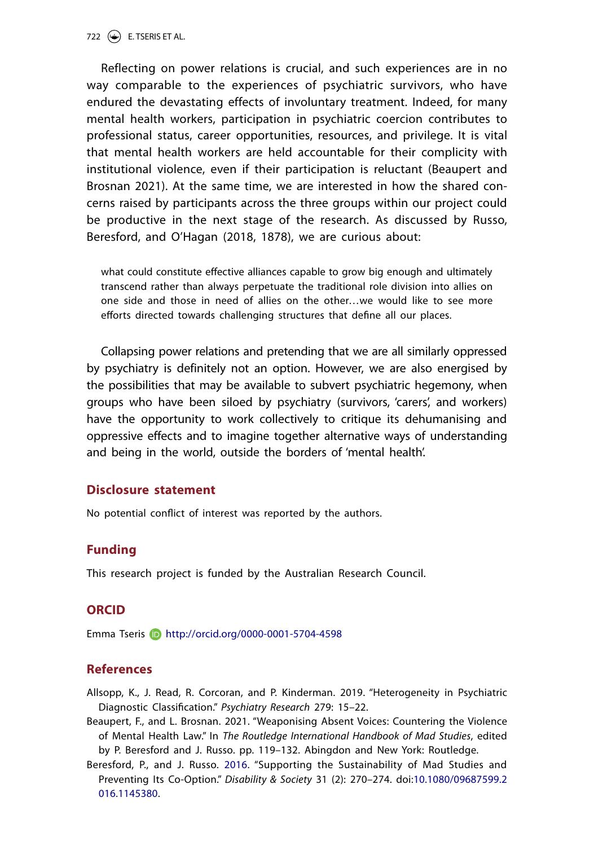722  $\leftrightarrow$  E. TSERIS ET AL.

Reflecting on power relations is crucial, and such experiences are in no way comparable to the experiences of psychiatric survivors, who have endured the devastating effects of involuntary treatment. Indeed, for many mental health workers, participation in psychiatric coercion contributes to professional status, career opportunities, resources, and privilege. It is vital that mental health workers are held accountable for their complicity with institutional violence, even if their participation is reluctant (Beaupert and Brosnan 2021). At the same time, we are interested in how the shared concerns raised by participants across the three groups within our project could be productive in the next stage of the research. As discussed by Russo, Beresford, and O'Hagan (2018, 1878), we are curious about:

what could constitute effective alliances capable to grow big enough and ultimately transcend rather than always perpetuate the traditional role division into allies on one side and those in need of allies on the other…we would like to see more efforts directed towards challenging structures that define all our places.

Collapsing power relations and pretending that we are all similarly oppressed by psychiatry is definitely not an option. However, we are also energised by the possibilities that may be available to subvert psychiatric hegemony, when groups who have been siloed by psychiatry (survivors, 'carers', and workers) have the opportunity to work collectively to critique its dehumanising and oppressive effects and to imagine together alternative ways of understanding and being in the world, outside the borders of 'mental health'.

### **Disclosure statement**

No potential conflict of interest was reported by the authors.

#### **Funding**

This research project is funded by the Australian Research Council.

#### **ORCID**

Emma Tseris **b** <http://orcid.org/0000-0001-5704-4598>

#### **References**

Allsopp, K., J. Read, R. Corcoran, and P. Kinderman. 2019. "Heterogeneity in Psychiatric Diagnostic Classification." *Psychiatry Research* 279: 15–22.

- Beaupert, F., and L. Brosnan. 2021. "Weaponising Absent Voices: Countering the Violence of Mental Health Law." In *The Routledge International Handbook of Mad Studies*, edited by P. Beresford and J. Russo. pp. 119–132. Abingdon and New York: Routledge.
- <span id="page-5-0"></span>Beresford, P., and J. Russo. [2016.](#page-2-0) "Supporting the Sustainability of Mad Studies and Preventing Its Co-Option." *Disability & Society* 31 (2): 270–274. doi:[10.1080/09687599.2](https://doi.org/10.1080/09687599.2016.1145380) [016.1145380](https://doi.org/10.1080/09687599.2016.1145380).